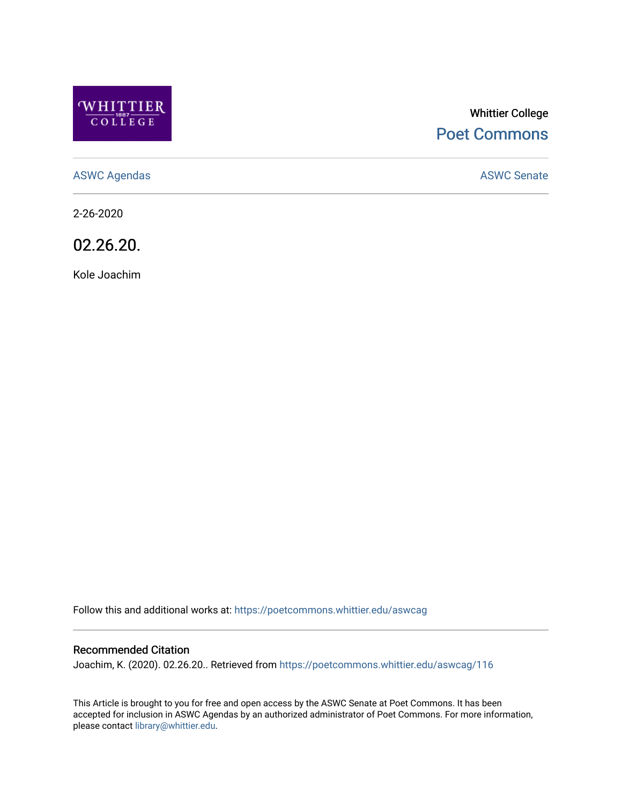

# Whittier College [Poet Commons](https://poetcommons.whittier.edu/)

[ASWC Agendas](https://poetcommons.whittier.edu/aswcag) **ASWC Senate** 

2-26-2020

02.26.20.

Kole Joachim

Follow this and additional works at: [https://poetcommons.whittier.edu/aswcag](https://poetcommons.whittier.edu/aswcag?utm_source=poetcommons.whittier.edu%2Faswcag%2F116&utm_medium=PDF&utm_campaign=PDFCoverPages) 

## Recommended Citation

Joachim, K. (2020). 02.26.20.. Retrieved from [https://poetcommons.whittier.edu/aswcag/116](https://poetcommons.whittier.edu/aswcag/116?utm_source=poetcommons.whittier.edu%2Faswcag%2F116&utm_medium=PDF&utm_campaign=PDFCoverPages) 

This Article is brought to you for free and open access by the ASWC Senate at Poet Commons. It has been accepted for inclusion in ASWC Agendas by an authorized administrator of Poet Commons. For more information, please contact [library@whittier.edu](mailto:library@whittier.edu).